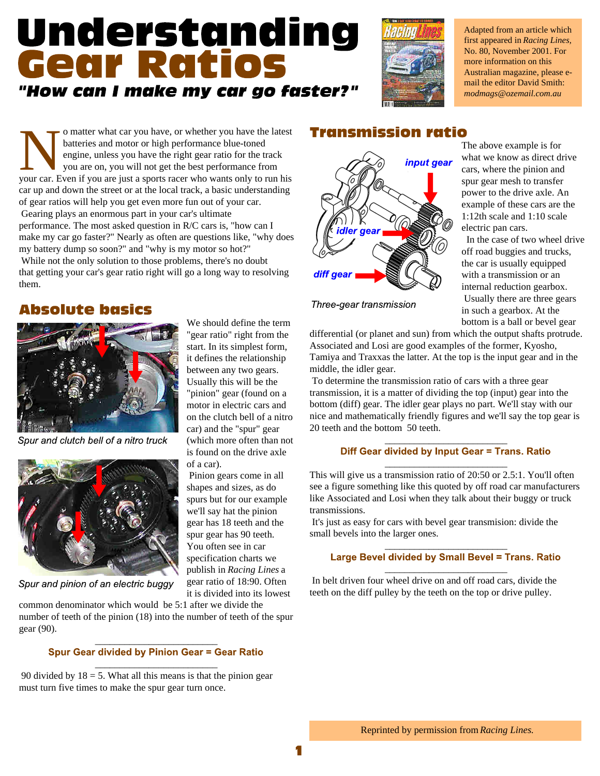## Understanding **Gear Ratios** "How can I make my car go faster?"

We should define the term "gear ratio" right from the start. In its simplest form, it defines the relationship between any two gears. Usually this will be the "pinion" gear (found on a motor in electric cars and on the clutch bell of a nitro car) and the "spur" gear (which more often than not is found on the drive axle

 Pinion gears come in all shapes and sizes, as do spurs but for our example we'll say hat the pinion gear has 18 teeth and the spur gear has 90 teeth. You often see in car specification charts we publish in *Racing Lines* a gear ratio of 18:90. Often it is divided into its lowest

of a car).



Adapted from an article which first appeared in *Racing Lines,* No. 80, November 2001. For more information on this Australian magazine, please email the editor David Smith: *modmags@ozemail.com.au*

o matter what car you have, or whether you have the latest<br>batteries and motor or high performance blue-toned<br>engine, unless you have the right gear ratio for the track<br>you are on, you will not get the best performance fro o matter what car you have, or whether you have the latest **Transmission ratio** batteries and motor or high performance blue-toned engine, unless you have the right gear ratio for the track you are on, you will not get the best performance from car up and down the street or at the local track, a basic understanding of gear ratios will help you get even more fun out of your car. Gearing plays an enormous part in your car's ultimate performance. The most asked question in R/C cars is, "how can I make my car go faster?" Nearly as often are questions like, "why does my battery dump so soon?" and "why is my motor so hot?" While not the only solution to those problems, there's no doubt that getting your car's gear ratio right will go a long way to resolving diff gear them.

## **Absolute basics**



Spur and clutch bell of a nitro truck



Spur and pinion of an electric buggy

common denominator which would be 5:1 after we divide the number of teeth of the pinion (18) into the number of teeth of the spur gear (90).

#### \_\_\_\_\_\_\_\_\_\_\_\_\_\_\_\_\_\_\_\_\_\_\_\_\_ **Spur Gear divided by Pinion Gear = Gear Ratio**

\_\_\_\_\_\_\_\_\_\_\_\_\_\_\_\_\_\_\_\_\_\_\_\_\_

90 divided by  $18 = 5$ . What all this means is that the pinion gear must turn five times to make the spur gear turn once.



Three-gear transmission

The above example is for what we know as direct drive cars, where the pinion and spur gear mesh to transfer power to the drive axle. An example of these cars are the 1:12th scale and 1:10 scale electric pan cars.

 In the case of two wheel drive off road buggies and trucks, the car is usually equipped with a transmission or an internal reduction gearbox. Usually there are three gears in such a gearbox. At the bottom is a ball or bevel gear

differential (or planet and sun) from which the output shafts protrude. Associated and Losi are good examples of the former, Kyosho, Tamiya and Traxxas the latter. At the top is the input gear and in the middle, the idler gear.

 To determine the transmission ratio of cars with a three gear transmission, it is a matter of dividing the top (input) gear into the bottom (diff) gear. The idler gear plays no part. We'll stay with our nice and mathematically friendly figures and we'll say the top gear is 20 teeth and the bottom 50 teeth.

#### $\overline{\phantom{a}}$  , where the contract of the contract of  $\overline{\phantom{a}}$ Diff Gear divided by Input Gear = Trans. Ratio

This will give us a transmission ratio of  $20:50$  or  $2.5:1$ . You'll often see a figure something like this quoted by off road car manufacturers like Associated and Losi when they talk about their buggy or truck transmissions.

 It's just as easy for cars with bevel gear transmision: divide the small bevels into the larger ones.

## $\overline{\phantom{a}}$  , where the contract of the contract of  $\overline{\phantom{a}}$

\_\_\_\_\_\_\_\_\_\_\_\_\_\_\_\_\_\_\_\_\_\_\_\_\_

 In belt driven four wheel drive on and off road cars, divide the teeth on the diff pulley by the teeth on the top or drive pulley.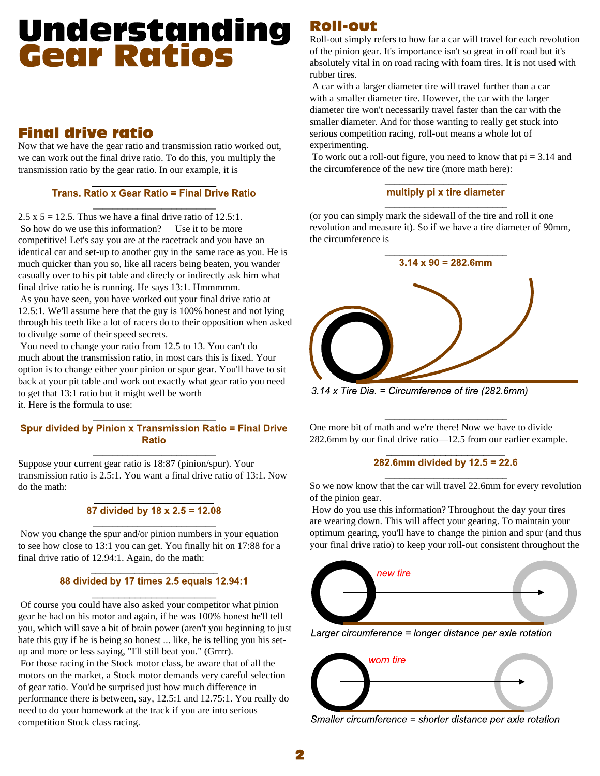# **Understanding<br>Gear Ratios**

### **Final drive ratio**

Now that we have the gear ratio and transmission ratio worked out, we can work out the final drive ratio. To do this, you multiply the

transmission ratio by the gear ratio. In our example, it is<br> $\frac{1}{\text{Trans. } \text{Ratio} \times \text{Gear Ratio}} = \frac{1}{\text{Final Drive Ratio}}$ <br>2.5 x 5 = 12.5. Thus we have a final drive ratio of 12.5:1. So how do we use this information? Use it to be more competitive! Let's say you are at the racetrack and you have an identical car and set-up to another guy in the same race as you. He is much quicker than you so, like all racers being beaten, you wander casually over to his pit table and direcly or indirectly ask him what final drive ratio he is running. He says 13:1. Hmmmmm.

 As you have seen, you have worked out your final drive ratio at 12.5:1. We'll assume here that the guy is 100% honest and not lying through his teeth like a lot of racers do to their opposition when asked to divulge some of their speed secrets.

 You need to change your ratio from 12.5 to 13. You can't do much about the transmission ratio, in most cars this is fixed. Your option is to change either your pinion or spur gear. You'll have to sit back at your pit table and work out exactly what gear ratio you need to get that 13:1 ratio but it might well be worth it. Here is the formula to use:

## Spur divided by Pinion x Transmission Ratio = Final Drive<br>Ratio<br>Suppose your current gear ratio is 18:87 (pinion/spur). Your

transmission ratio is 2.5:1. You want a final drive ratio of 13:1. Now do the math:<br> $\overline{87}$  divided by 18 x 2.5 = 12.08

 Now you change the spur and/or pinion numbers in your equation to see how close to 13:1 you can get. You finally hit on 17:88 for a final drive ratio of 12.94:1. Again, do the math:

\_\_\_\_\_\_\_\_\_\_\_\_\_\_\_\_\_\_\_\_\_\_\_\_\_\_

 Of course you could have also asked your competitor what pinion gear he had on his motor and again, if he was 100% honest he'll tell you, which will save a bit of brain power (aren't you beginning to just<br>Larger circumference = longer distance per axle rotation hate this guy if he is being so honest ... like, he is telling you his setup and more or less saying, "I'll still beat you." (Grrrr). For those racing in the Stock motor class, be aware that of all the motors on the market, a Stock motor demands very careful selection of gear ratio. You'd be surprised just how much difference in performance there is between, say, 12.5:1 and 12.75:1. You really do need to do your homework at the track if you are into serious competition Stock class racing.

## **Roll-out**

Roll-out simply refers to how far a car will travel for each revolution of the pinion gear. It's importance isn't so great in off road but it's absolutely vital in on road racing with foam tires. It is not used with rubber tires.

 A car with a larger diameter tire will travel further than a car with a smaller diameter tire. However, the car with the larger diameter tire won't necessarily travel faster than the car with the smaller diameter. And for those wanting to really get stuck into serious competition racing, roll-out means a whole lot of experimenting.

To work out a roll-out figure, you need to know that  $pi = 3.14$  and the circumference of the new tire (more math here):

 $\frac{$  multiply pi x tire diameter<br>(or you can simply mark the sidewall of the tire and roll it one revolution and measure it). So if we have a tire diameter of 90mm, the circumference is



 $3.14$  x Tire Dia. = Circumference of tire (282.6mm)

One more bit of math and we're there! Now we have to divide

282.6mm by our final drive ratio—12.5 from our earlier example.<br> $282.6$  So we now know that the car will travel 22.6mm for every revolution of the pinion gear.

 How do you use this information? Throughout the day your tires are wearing down. This will affect your gearing. To maintain your optimum gearing, you'll have to change the pinion and spur (and thus your final drive ratio) to keep your roll-out consistent throughout the





Smaller circumference = shorter distance per axle rotation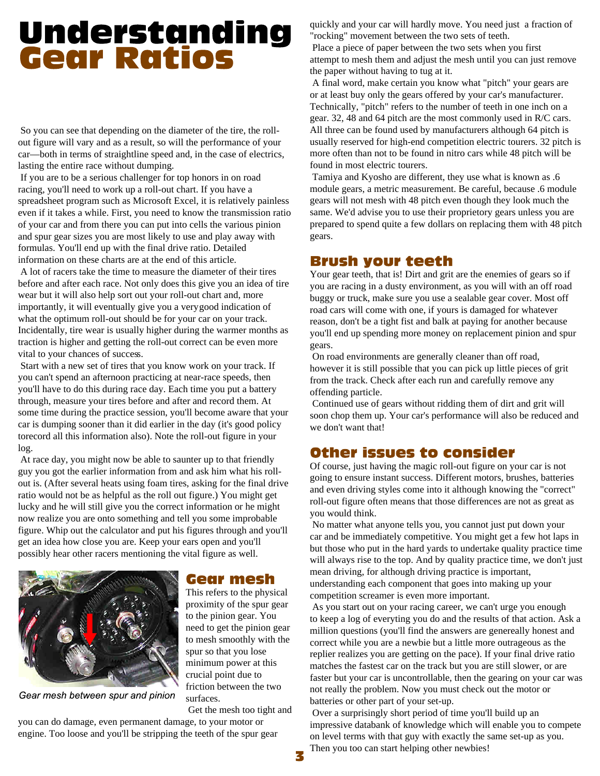# **Understanding<br>Gear Ratios**

 So you can see that depending on the diameter of the tire, the rollout figure will vary and as a result, so will the performance of your car—both in terms of straightline speed and, in the case of electrics, lasting the entire race without dumping.

 If you are to be a serious challenger for top honors in on road racing, you'll need to work up a roll-out chart. If you have a spreadsheet program such as Microsoft Excel, it is relatively painless even if it takes a while. First, you need to know the transmission ratio of your car and from there you can put into cells the various pinion and spur gear sizes you are most likely to use and play away with formulas. You'll end up with the final drive ratio. Detailed information on these charts are at the end of this article.

 A lot of racers take the time to measure the diameter of their tires before and after each race. Not only does this give you an idea of tire wear but it will also help sort out your roll-out chart and, more importantly, it will eventually give you a very good indication of what the optimum roll-out should be for your car on your track. Incidentally, tire wear is usually higher during the warmer months as traction is higher and getting the roll-out correct can be even more vital to your chances of success.

 Start with a new set of tires that you know work on your track. If you can't spend an afternoon practicing at near-race speeds, then you'll have to do this during race day. Each time you put a battery through, measure your tires before and after and record them. At some time during the practice session, you'll become aware that your car is dumping sooner than it did earlier in the day (it's good policy torecord all this information also). Note the roll-out figure in your log.

 At race day, you might now be able to saunter up to that friendly guy you got the earlier information from and ask him what his rollout is. (After several heats using foam tires, asking for the final drive ratio would not be as helpful as the roll out figure.) You might get lucky and he will still give you the correct information or he might now realize you are onto something and tell you some improbable figure. Whip out the calculator and put his figures through and you'll get an idea how close you are. Keep your ears open and you'll possibly hear other racers mentioning the vital figure as well.



Gear mesh between spur and pinion

#### **Gear mesh**

This refers to the physical proximity of the spur gear to the pinion gear. You need to get the pinion gear to mesh smoothly with the spur so that you lose minimum power at this crucial point due to friction between the two surfaces.

Get the mesh too tight and

you can do damage, even permanent damage, to your motor or engine. Too loose and you'll be stripping the teeth of the spur gear quickly and your car will hardly move. You need just a fraction of "rocking" movement between the two sets of teeth.

 Place a piece of paper between the two sets when you first attempt to mesh them and adjust the mesh until you can just remove the paper without having to tug at it.

 A final word, make certain you know what "pitch" your gears are or at least buy only the gears offered by your car's manufacturer. Technically, "pitch" refers to the number of teeth in one inch on a gear. 32, 48 and 64 pitch are the most commonly used in R/C cars. All three can be found used by manufacturers although 64 pitch is usually reserved for high-end competition electric tourers. 32 pitch is more often than not to be found in nitro cars while 48 pitch will be found in most electric tourers.

 Tamiya and Kyosho are different, they use what is known as .6 module gears, a metric measurement. Be careful, because .6 module gears will not mesh with 48 pitch even though they look much the same. We'd advise you to use their proprietory gears unless you are prepared to spend quite a few dollars on replacing them with 48 pitch gears.

### **Brush your teeth**

Your gear teeth, that is! Dirt and grit are the enemies of gears so if you are racing in a dusty environment, as you will with an off road buggy or truck, make sure you use a sealable gear cover. Most off road cars will come with one, if yours is damaged for whatever reason, don't be a tight fist and balk at paying for another because you'll end up spending more money on replacement pinion and spur gears.

 On road environments are generally cleaner than off road, however it is still possible that you can pick up little pieces of grit from the track. Check after each run and carefully remove any offending particle.

 Continued use of gears without ridding them of dirt and grit will soon chop them up. Your car's performance will also be reduced and we don't want that!

## **Other issues to consider**

Of course, just having the magic roll-out figure on your car is not going to ensure instant success. Different motors, brushes, batteries and even driving styles come into it although knowing the "correct" roll-out figure often means that those differences are not as great as you would think.

 No matter what anyone tells you, you cannot just put down your car and be immediately competitive. You might get a few hot laps in but those who put in the hard yards to undertake quality practice time will always rise to the top. And by quality practice time, we don't just mean driving, for although driving practice is important, understanding each component that goes into making up your competition screamer is even more important.

 As you start out on your racing career, we can't urge you enough to keep a log of everyting you do and the results of that action. Ask a million questions (you'll find the answers are genereally honest and correct while you are a newbie but a little more outrageous as the replier realizes you are getting on the pace). If your final drive ratio matches the fastest car on the track but you are still slower, or are faster but your car is uncontrollable, then the gearing on your car was not really the problem. Now you must check out the motor or batteries or other part of your set-up.

 Over a surprisingly short period of time you'll build up an impressive databank of knowledge which will enable you to compete on level terms with that guy with exactly the same set-up as you. Then you too can start helping other newbies!